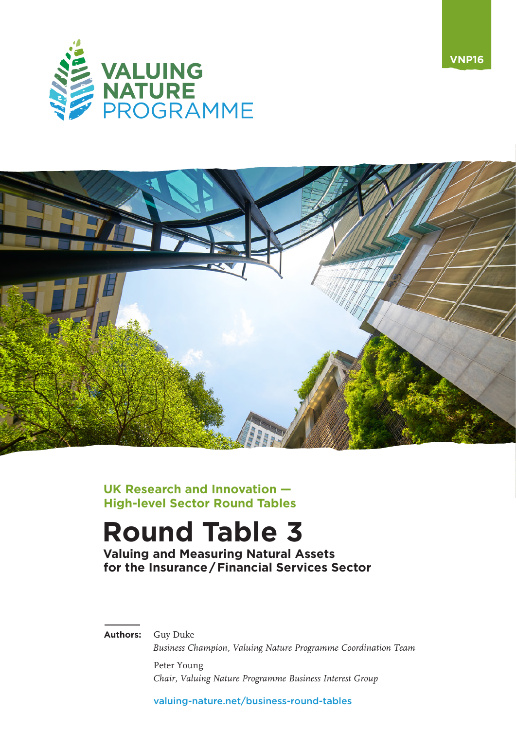



**UK Research and Innovation — High-level Sector Round Tables**

# **Round Table 3**

**Valuing and Measuring Natural Assets for the Insurance/Financial Services Sector**

**Authors:** Guy Duke

*Business Champion, Valuing Nature Programme Coordination Team* Peter Young

*Chair, Valuing Nature Programme Business Interest Group*

[valuing-nature.net/business-round-tables](https://valuing-nature.net/business-round-tables)

**VNP16**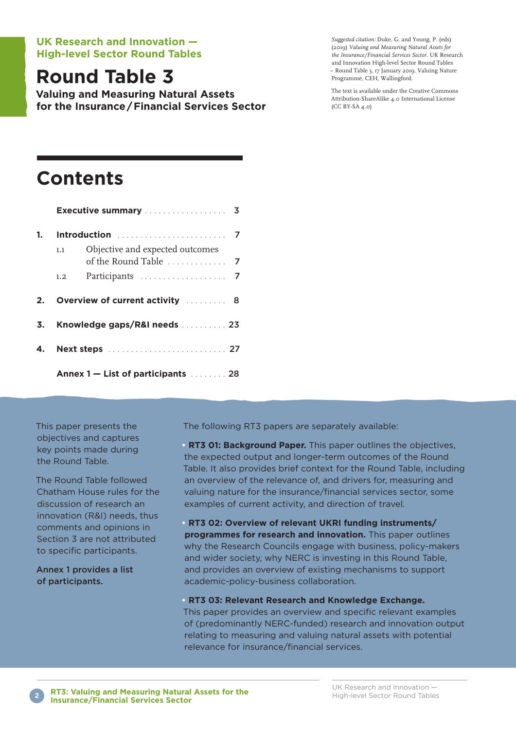#### **UK Research and Innovation — High-level Sector Round Tables**

## **Round Table 3**

**Valuing and Measuring Natural Assets for the Insurance/Financial Services Sector**

*Suggested citation:* Duke, G. and Young, P. (eds) (20ı9) *Valuing and Measuring Natural Assets for the Insurance/Financial Services Sector.* UK Research and Innovation High-level Sector Round Tables – Round Table 3, ı7 January 20ı9. Valuing Nature Programme, CEH, Wallingford.

The text is available under the Creative Commons Attribution-ShareAlike 4.0 International License (CC BY-SA 4.0)

## **Contents**

|      | <b>Executive summary</b> 3         |                                 |  |  |
|------|------------------------------------|---------------------------------|--|--|
| 1.   |                                    |                                 |  |  |
|      | 1.1                                | Objective and expected outcomes |  |  |
|      | 1.2                                |                                 |  |  |
| $2-$ |                                    | Overview of current activity  8 |  |  |
| 3.   | Knowledge gaps/R&I needs  23       |                                 |  |  |
| 4.   |                                    |                                 |  |  |
|      | Annex 1 – List of participants  28 |                                 |  |  |

This paper presents the objectives and captures key points made during the Round Table.

The Round Table followed Chatham House rules for the discussion of research an innovation (R&I) needs, thus comments and opinions in Section 3 are not attributed to specific participants.

Annex 1 provides a list of participants.

The following RT3 papers are separately available:

**• RT3 01: Background Paper.** This paper outlines the objectives, the expected output and longer-term outcomes of the Round Table. It also provides brief context for the Round Table, including an overview of the relevance of, and drivers for, measuring and valuing nature for the insurance/financial services sector, some examples of current activity, and direction of travel.

**• RT3 02: Overview of relevant UKRI funding instruments/ programmes for research and innovation.** This paper outlines why the Research Councils engage with business, policy-makers and wider society, why NERC is investing in this Round Table, and provides an overview of existing mechanisms to support academic-policy-business collaboration.

**• RT3 03: Relevant Research and Knowledge Exchange.**

This paper provides an overview and specific relevant examples of (predominantly NERC-funded) research and innovation output relating to measuring and valuing natural assets with potential relevance for insurance/financial services.

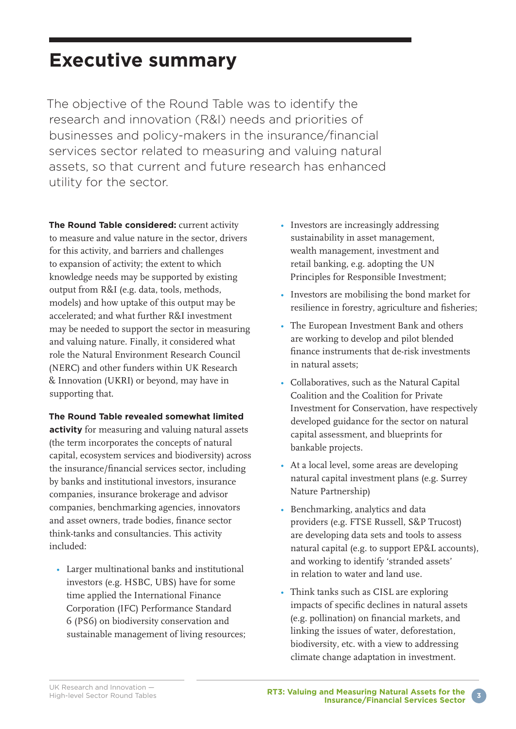## **Executive summary**

The objective of the Round Table was to identify the research and innovation (R&I) needs and priorities of businesses and policy-makers in the insurance/financial services sector related to measuring and valuing natural assets, so that current and future research has enhanced utility for the sector.

**The Round Table considered:** current activity to measure and value nature in the sector, drivers for this activity, and barriers and challenges to expansion of activity; the extent to which knowledge needs may be supported by existing output from R&I (e.g. data, tools, methods, models) and how uptake of this output may be accelerated; and what further R&I investment may be needed to support the sector in measuring and valuing nature. Finally, it considered what role the Natural Environment Research Council (NERC) and other funders within UK Research & Innovation (UKRI) or beyond, may have in supporting that.

#### **The Round Table revealed somewhat limited**

**activity** for measuring and valuing natural assets (the term incorporates the concepts of natural capital, ecosystem services and biodiversity) across the insurance/financial services sector, including by banks and institutional investors, insurance companies, insurance brokerage and advisor companies, benchmarking agencies, innovators and asset owners, trade bodies, finance sector think-tanks and consultancies. This activity included:

• Larger multinational banks and institutional investors (e.g. HSBC, UBS) have for some time applied the International Finance Corporation (IFC) Performance Standard 6 (PS6) on biodiversity conservation and sustainable management of living resources;

- Investors are increasingly addressing sustainability in asset management, wealth management, investment and retail banking, e.g. adopting the UN Principles for Responsible Investment;
- Investors are mobilising the bond market for resilience in forestry, agriculture and fisheries;
- The European Investment Bank and others are working to develop and pilot blended finance instruments that de-risk investments in natural assets;
- Collaboratives, such as the Natural Capital Coalition and the Coalition for Private Investment for Conservation, have respectively developed guidance for the sector on natural capital assessment, and blueprints for bankable projects.
- At a local level, some areas are developing natural capital investment plans (e.g. Surrey Nature Partnership)
- Benchmarking, analytics and data providers (e.g. FTSE Russell, S&P Trucost) are developing data sets and tools to assess natural capital (e.g. to support EP&L accounts), and working to identify 'stranded assets' in relation to water and land use.
- Think tanks such as CISL are exploring impacts of specific declines in natural assets (e.g. pollination) on financial markets, and linking the issues of water, deforestation, biodiversity, etc. with a view to addressing climate change adaptation in investment.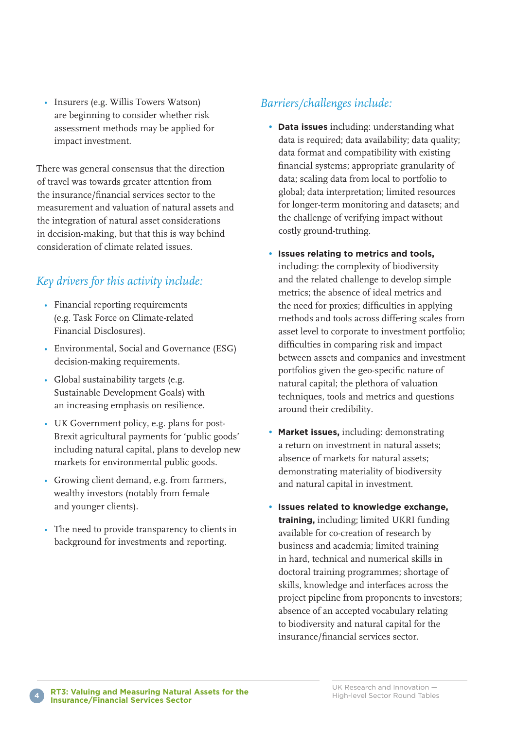• Insurers (e.g. Willis Towers Watson) are beginning to consider whether risk assessment methods may be applied for impact investment.

There was general consensus that the direction of travel was towards greater attention from the insurance/financial services sector to the measurement and valuation of natural assets and the integration of natural asset considerations in decision-making, but that this is way behind consideration of climate related issues.

### *Key drivers for this activity include:*

- Financial reporting requirements (e.g. Task Force on Climate-related Financial Disclosures).
- Environmental, Social and Governance (ESG) decision-making requirements.
- Global sustainability targets (e.g. Sustainable Development Goals) with an increasing emphasis on resilience.
- UK Government policy, e.g. plans for post-Brexit agricultural payments for 'public goods' including natural capital, plans to develop new markets for environmental public goods.
- Growing client demand, e.g. from farmers, wealthy investors (notably from female and younger clients).
- The need to provide transparency to clients in background for investments and reporting.

### *Barriers/challenges include:*

- **Data issues** including: understanding what data is required; data availability; data quality; data format and compatibility with existing financial systems; appropriate granularity of data; scaling data from local to portfolio to global; data interpretation; limited resources for longer-term monitoring and datasets; and the challenge of verifying impact without costly ground-truthing.
- **Issues relating to metrics and tools,** including: the complexity of biodiversity and the related challenge to develop simple metrics; the absence of ideal metrics and the need for proxies; difficulties in applying methods and tools across differing scales from asset level to corporate to investment portfolio; difficulties in comparing risk and impact between assets and companies and investment portfolios given the geo-specific nature of natural capital; the plethora of valuation techniques, tools and metrics and questions around their credibility.
- **Market issues,** including: demonstrating a return on investment in natural assets; absence of markets for natural assets; demonstrating materiality of biodiversity and natural capital in investment.
- **Issues related to knowledge exchange, training,** including; limited UKRI funding available for co-creation of research by business and academia; limited training in hard, technical and numerical skills in doctoral training programmes; shortage of skills, knowledge and interfaces across the project pipeline from proponents to investors; absence of an accepted vocabulary relating to biodiversity and natural capital for the insurance/financial services sector.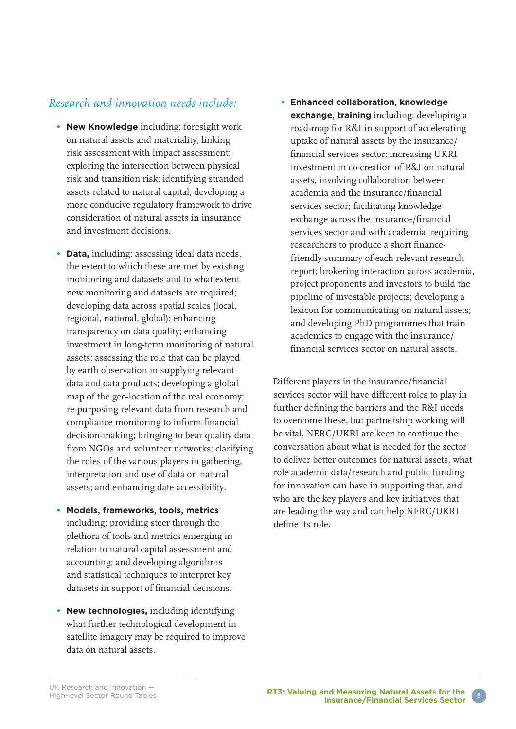#### *Research and innovation needs include:*

- **New Knowledge** including: foresight work on natural assets and materiality; linking risk assessment with impact assessment; exploring the intersection between physical risk and transition risk; identifying stranded assets related to natural capital; developing a more conducive regulatory framework to drive consideration of natural assets in insurance and investment decisions.
- **Data,** including: assessing ideal data needs, the extent to which these are met by existing monitoring and datasets and to what extent new monitoring and datasets are required; developing data across spatial scales (local, regional, national, global); enhancing transparency on data quality; enhancing investment in long-term monitoring of natural assets; assessing the role that can be played by earth observation in supplying relevant data and data products; developing a global map of the geo-location of the real economy; re-purposing relevant data from research and compliance monitoring to inform financial decision-making; bringing to bear quality data from NGOs and volunteer networks; clarifying the roles of the various players in gathering, interpretation and use of data on natural assets; and enhancing date accessibility.
- **Models, frameworks, tools, metrics** including: providing steer through the plethora of tools and metrics emerging in relation to natural capital assessment and accounting; and developing algorithms and statistical techniques to interpret key datasets in support of financial decisions.
- **New technologies,** including identifying what further technological development in satellite imagery may be required to improve data on natural assets.

**• Enhanced collaboration, knowledge exchange, training** including: developing a road-map for R&I in support of accelerating uptake of natural assets by the insurance/ financial services sector; increasing UKRI investment in co-creation of R&I on natural assets, involving collaboration between academia and the insurance/financial services sector; facilitating knowledge exchange across the insurance/financial services sector and with academia; requiring researchers to produce a short financefriendly summary of each relevant research report; brokering interaction across academia, project proponents and investors to build the pipeline of investable projects; developing a lexicon for communicating on natural assets; and developing PhD programmes that train academics to engage with the insurance/ financial services sector on natural assets.

Different players in the insurance/financial services sector will have different roles to play in further defining the barriers and the R&I needs to overcome these, but partnership working will be vital. NERC/UKRI are keen to continue the conversation about what is needed for the sector to deliver better outcomes for natural assets, what role academic data/research and public funding for innovation can have in supporting that, and who are the key players and key initiatives that are leading the way and can help NERC/UKRI define its role.

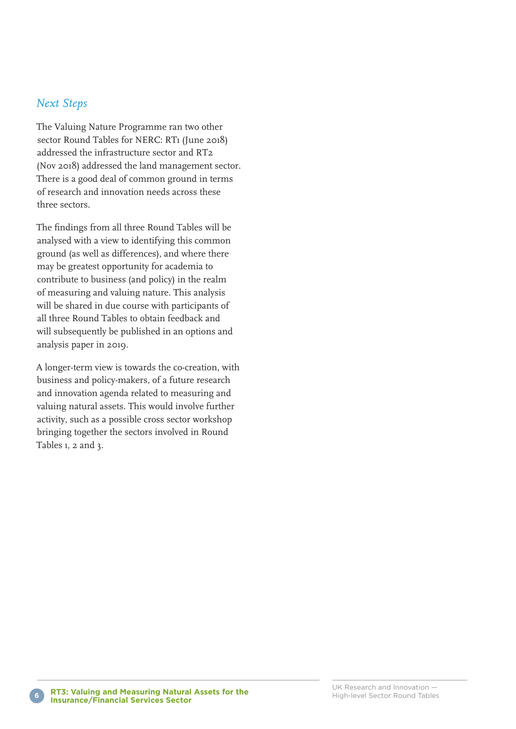#### *Next Steps*

The Valuing Nature Programme ran two other sector Round Tables for NERC: RTı (June 20ı8) addressed the infrastructure sector and RT2 (Nov 20ı8) addressed the land management sector. There is a good deal of common ground in terms of research and innovation needs across these three sectors.

The findings from all three Round Tables will be analysed with a view to identifying this common ground (as well as differences), and where there may be greatest opportunity for academia to contribute to business (and policy) in the realm of measuring and valuing nature. This analysis will be shared in due course with participants of all three Round Tables to obtain feedback and will subsequently be published in an options and analysis paper in 20ı9.

A longer-term view is towards the co-creation, with business and policy-makers, of a future research and innovation agenda related to measuring and valuing natural assets. This would involve further activity, such as a possible cross sector workshop bringing together the sectors involved in Round Tables 1, 2 and 3.

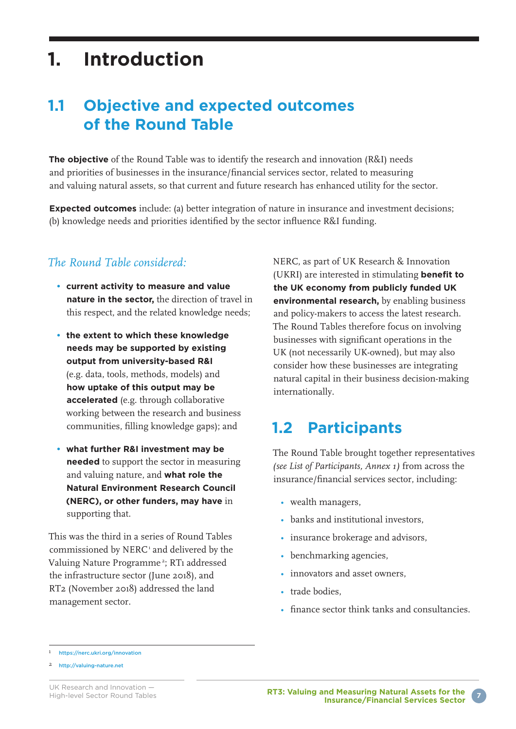## **1. Introduction**

### **1.1 Objective and expected outcomes of the Round Table**

**The objective** of the Round Table was to identify the research and innovation (R&I) needs and priorities of businesses in the insurance/financial services sector, related to measuring and valuing natural assets, so that current and future research has enhanced utility for the sector.

**Expected outcomes** include: (a) better integration of nature in insurance and investment decisions; (b) knowledge needs and priorities identified by the sector influence R&I funding.

#### *The Round Table considered:*

- **current activity to measure and value nature in the sector,** the direction of travel in this respect, and the related knowledge needs;
- **the extent to which these knowledge needs may be supported by existing output from university-based R&I** (e.g. data, tools, methods, models) and **how uptake of this output may be accelerated** (e.g. through collaborative working between the research and business communities, filling knowledge gaps); and
- **what further R&I investment may be needed** to support the sector in measuring and valuing nature, and **what role the Natural Environment Research Council (NERC), or other funders, may have** in supporting that.

This was the third in a series of Round Tables commissioned by NERC<sup>1</sup> and delivered by the Valuing Nature Programme<sup>2</sup>; RT1 addressed the infrastructure sector (June 20ı8), and RT2 (November 20ı8) addressed the land management sector.

NERC, as part of UK Research & Innovation (UKRI) are interested in stimulating **benefit to the UK economy from publicly funded UK environmental research,** by enabling business and policy-makers to access the latest research. The Round Tables therefore focus on involving businesses with significant operations in the UK (not necessarily UK-owned), but may also consider how these businesses are integrating natural capital in their business decision-making internationally.

### **1.2 Participants**

The Round Table brought together representatives *(see List of Participants, Annex 1)* from across the insurance/financial services sector, including:

- wealth managers,
- banks and institutional investors,
- insurance brokerage and advisors,
- benchmarking agencies,
- innovators and asset owners,
- trade bodies
- finance sector think tanks and consultancies.

2 <http://valuing-nature.net>



ı <https://nerc.ukri.org/innovation>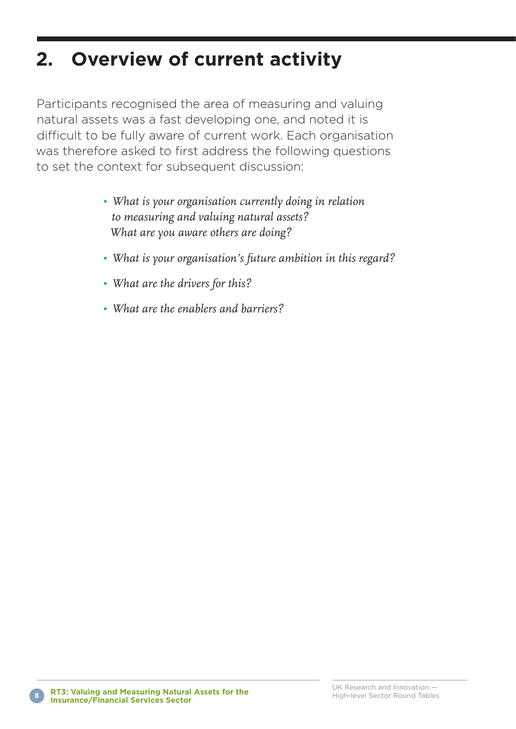## **2. Overview of current activity**

Participants recognised the area of measuring and valuing natural assets was a fast developing one, and noted it is difficult to be fully aware of current work. Each organisation was therefore asked to first address the following questions to set the context for subsequent discussion:

- *What is your organisation currently doing in relation to measuring and valuing natural assets? What are you aware others are doing?*
- *• What is your organisation's future ambition in this regard?*
- *• What are the drivers for this?*
- *• What are the enablers and barriers?*

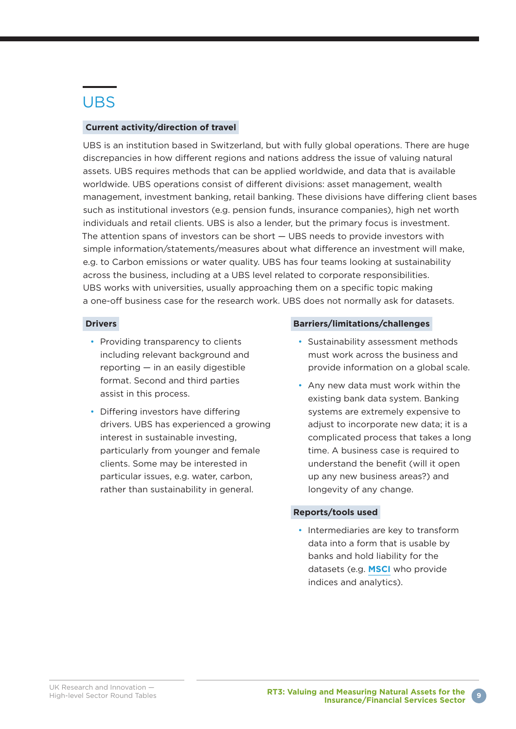### UBS

#### **Current activity/direction of travel**

UBS is an institution based in Switzerland, but with fully global operations. There are huge discrepancies in how different regions and nations address the issue of valuing natural assets. UBS requires methods that can be applied worldwide, and data that is available worldwide. UBS operations consist of different divisions: asset management, wealth management, investment banking, retail banking. These divisions have differing client bases such as institutional investors (e.g. pension funds, insurance companies), high net worth individuals and retail clients. UBS is also a lender, but the primary focus is investment. The attention spans of investors can be short — UBS needs to provide investors with simple information/statements/measures about what difference an investment will make, e.g. to Carbon emissions or water quality. UBS has four teams looking at sustainability across the business, including at a UBS level related to corporate responsibilities. UBS works with universities, usually approaching them on a specific topic making a one-off business case for the research work. UBS does not normally ask for datasets.

#### **Drivers**

- Providing transparency to clients including relevant background and reporting — in an easily digestible format. Second and third parties assist in this process.
- Differing investors have differing drivers. UBS has experienced a growing interest in sustainable investing, particularly from younger and female clients. Some may be interested in particular issues, e.g. water, carbon, rather than sustainability in general.

#### **Barriers/limitations/challenges**

- Sustainability assessment methods must work across the business and provide information on a global scale.
- Any new data must work within the existing bank data system. Banking systems are extremely expensive to adjust to incorporate new data; it is a complicated process that takes a long time. A business case is required to understand the benefit (will it open up any new business areas?) and longevity of any change.

#### **Reports/tools used**

• Intermediaries are key to transform data into a form that is usable by banks and hold liability for the datasets (e.g. **[MSCI](https://www.msci.com/)** who provide indices and analytics).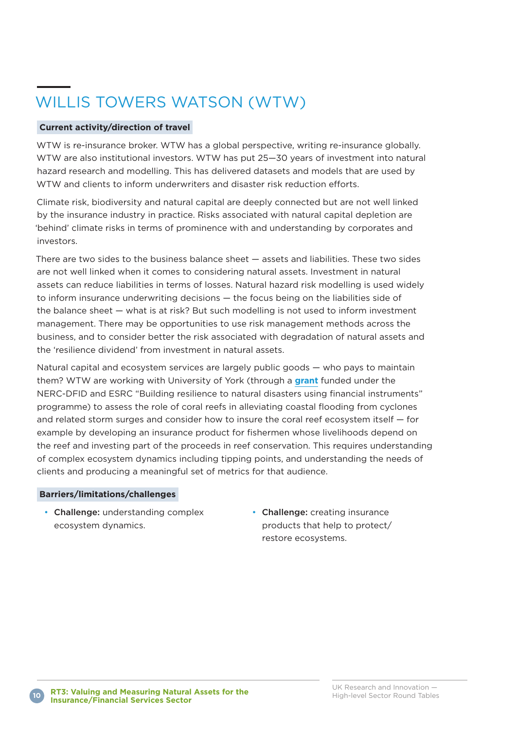### WILLIS TOWERS WATSON (WTW)

#### **Current activity/direction of travel**

WTW is re-insurance broker. WTW has a global perspective, writing re-insurance globally. WTW are also institutional investors. WTW has put 25—30 years of investment into natural hazard research and modelling. This has delivered datasets and models that are used by WTW and clients to inform underwriters and disaster risk reduction efforts.

Climate risk, biodiversity and natural capital are deeply connected but are not well linked by the insurance industry in practice. Risks associated with natural capital depletion are 'behind' climate risks in terms of prominence with and understanding by corporates and investors.

There are two sides to the business balance sheet — assets and liabilities. These two sides are not well linked when it comes to considering natural assets. Investment in natural assets can reduce liabilities in terms of losses. Natural hazard risk modelling is used widely to inform insurance underwriting decisions — the focus being on the liabilities side of the balance sheet — what is at risk? But such modelling is not used to inform investment management. There may be opportunities to use risk management methods across the business, and to consider better the risk associated with degradation of natural assets and the 'resilience dividend' from investment in natural assets.

Natural capital and ecosystem services are largely public goods — who pays to maintain them? WTW are working with University of York (through a **[grant](http://gotw.nerc.ac.uk/list_full.asp?pcode=NE%2FR014329%2F1)** funded under the NERC-DFID and ESRC "Building resilience to natural disasters using financial instruments" programme) to assess the role of coral reefs in alleviating coastal flooding from cyclones and related storm surges and consider how to insure the coral reef ecosystem itself — for example by developing an insurance product for fishermen whose livelihoods depend on the reef and investing part of the proceeds in reef conservation. This requires understanding of complex ecosystem dynamics including tipping points, and understanding the needs of clients and producing a meaningful set of metrics for that audience.

#### **Barriers/limitations/challenges**

- Challenge: understanding complex ecosystem dynamics.
- Challenge: creating insurance products that help to protect/ restore ecosystems.

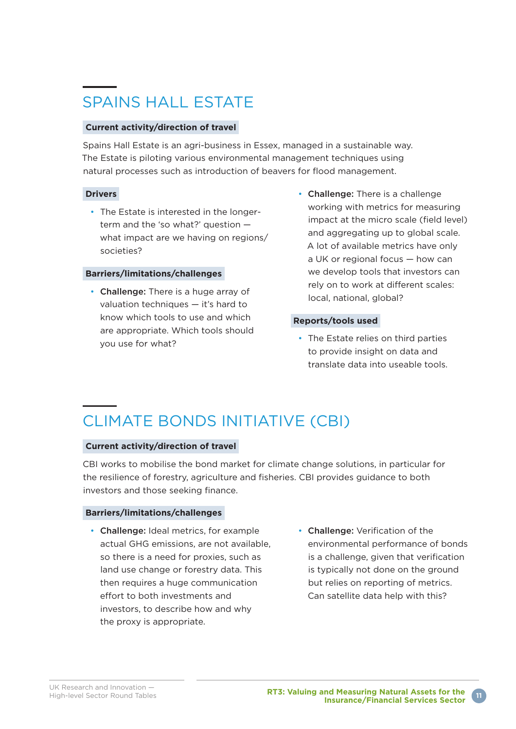### SPAINS HALL ESTATE

#### **Current activity/direction of travel**

Spains Hall Estate is an agri-business in Essex, managed in a sustainable way. The Estate is piloting various environmental management techniques using natural processes such as introduction of beavers for flood management.

#### **Drivers**

• The Estate is interested in the longerterm and the 'so what?' question what impact are we having on regions/ societies?

#### **Barriers/limitations/challenges**

- Challenge: There is a huge array of valuation techniques — it's hard to know which tools to use and which are appropriate. Which tools should you use for what?
- Challenge: There is a challenge working with metrics for measuring impact at the micro scale (field level) and aggregating up to global scale. A lot of available metrics have only a UK or regional focus — how can we develop tools that investors can rely on to work at different scales: local, national, global?

#### **Reports/tools used**

• The Estate relies on third parties to provide insight on data and translate data into useable tools.

### CLIMATE BONDS INITIATIVE (CBI)

#### **Current activity/direction of travel**

CBI works to mobilise the bond market for climate change solutions, in particular for the resilience of forestry, agriculture and fisheries. CBI provides guidance to both investors and those seeking finance.

#### **Barriers/limitations/challenges**

- Challenge: Ideal metrics, for example actual GHG emissions, are not available, so there is a need for proxies, such as land use change or forestry data. This then requires a huge communication effort to both investments and investors, to describe how and why the proxy is appropriate.
- Challenge: Verification of the environmental performance of bonds is a challenge, given that verification is typically not done on the ground but relies on reporting of metrics. Can satellite data help with this?

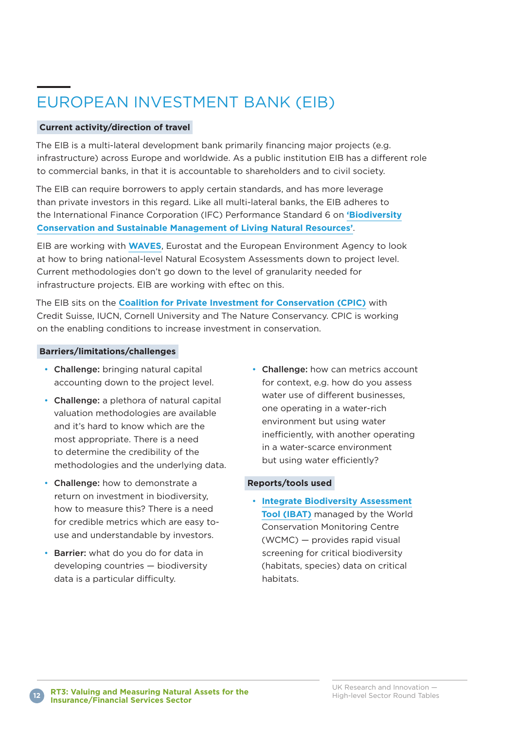### EUROPEAN INVESTMENT BANK (EIB)

#### **Current activity/direction of travel**

The EIB is a multi-lateral development bank primarily financing major projects (e.g. infrastructure) across Europe and worldwide. As a public institution EIB has a different role to commercial banks, in that it is accountable to shareholders and to civil society.

The EIB can require borrowers to apply certain standards, and has more leverage than private investors in this regard. Like all multi-lateral banks, the EIB adheres to the International Finance Corporation (IFC) Performance Standard 6 on **['Biodiversity](https://www.ifc.org/wps/wcm/connect/topics_ext_content/ifc_external_corporate_site/sustainability-at-ifc/policies-standards/performance-standards/ps6) [Conservation and Sustainable Management of Living Natural Resources'](https://www.ifc.org/wps/wcm/connect/topics_ext_content/ifc_external_corporate_site/sustainability-at-ifc/policies-standards/performance-standards/ps6)**.

EIB are working with **[WAVES](https://www.wavespartnership.org/en)**, Eurostat and the European Environment Agency to look at how to bring national-level Natural Ecosystem Assessments down to project level. Current methodologies don't go down to the level of granularity needed for infrastructure projects. EIB are working with eftec on this.

The EIB sits on the **[Coalition for Private Investment for Conservation \(CPIC\)](http://cpicfinance.com/)** with Credit Suisse, IUCN, Cornell University and The Nature Conservancy. CPIC is working on the enabling conditions to increase investment in conservation.

#### **Barriers/limitations/challenges**

- Challenge: bringing natural capital accounting down to the project level.
- Challenge: a plethora of natural capital valuation methodologies are available and it's hard to know which are the most appropriate. There is a need to determine the credibility of the methodologies and the underlying data.
- Challenge: how to demonstrate a return on investment in biodiversity, how to measure this? There is a need for credible metrics which are easy touse and understandable by investors.
- Barrier: what do you do for data in developing countries — biodiversity data is a particular difficulty.

• Challenge: how can metrics account for context, e.g. how do you assess water use of different businesses, one operating in a water-rich environment but using water inefficiently, with another operating in a water-scarce environment but using water efficiently?

#### **Reports/tools used**

• **[Integrate Biodiversity Assessment](https://www.unep-wcmc.org/resources-and-data/ibat) [Tool \(IBAT\)](https://www.unep-wcmc.org/resources-and-data/ibat)** managed by the World Conservation Monitoring Centre (WCMC) — provides rapid visual screening for critical biodiversity (habitats, species) data on critical habitats.

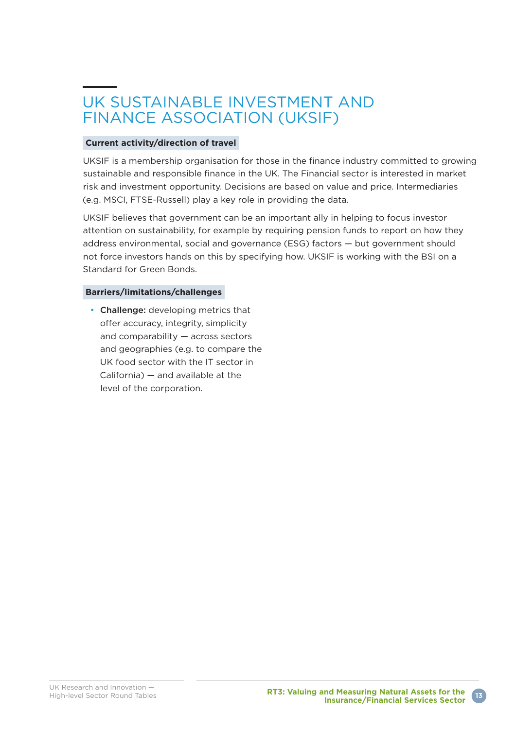### UK SUSTAINABLE INVESTMENT AND FINANCE ASSOCIATION (UKSIF)

#### **Current activity/direction of travel**

UKSIF is a membership organisation for those in the finance industry committed to growing sustainable and responsible finance in the UK. The Financial sector is interested in market risk and investment opportunity. Decisions are based on value and price. Intermediaries (e.g. MSCI, FTSE-Russell) play a key role in providing the data.

UKSIF believes that government can be an important ally in helping to focus investor attention on sustainability, for example by requiring pension funds to report on how they address environmental, social and governance (ESG) factors — but government should not force investors hands on this by specifying how. UKSIF is working with the BSI on a Standard for Green Bonds.

#### **Barriers/limitations/challenges**

• Challenge: developing metrics that offer accuracy, integrity, simplicity and comparability — across sectors and geographies (e.g. to compare the UK food sector with the IT sector in California) — and available at the level of the corporation.

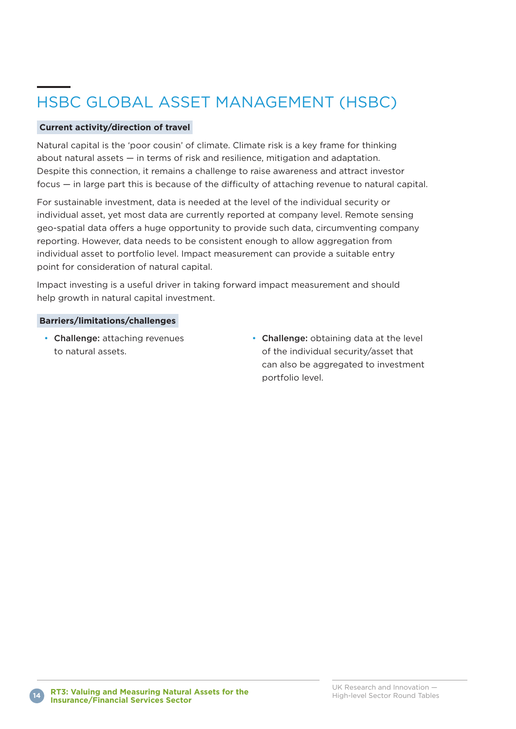## HSBC GLOBAL ASSET MANAGEMENT (HSBC)

#### **Current activity/direction of travel**

Natural capital is the 'poor cousin' of climate. Climate risk is a key frame for thinking about natural assets — in terms of risk and resilience, mitigation and adaptation. Despite this connection, it remains a challenge to raise awareness and attract investor focus — in large part this is because of the difficulty of attaching revenue to natural capital.

For sustainable investment, data is needed at the level of the individual security or individual asset, yet most data are currently reported at company level. Remote sensing geo-spatial data offers a huge opportunity to provide such data, circumventing company reporting. However, data needs to be consistent enough to allow aggregation from individual asset to portfolio level. Impact measurement can provide a suitable entry point for consideration of natural capital.

Impact investing is a useful driver in taking forward impact measurement and should help growth in natural capital investment.

#### **Barriers/limitations/challenges**

- Challenge: attaching revenues to natural assets.
- Challenge: obtaining data at the level of the individual security/asset that can also be aggregated to investment portfolio level.

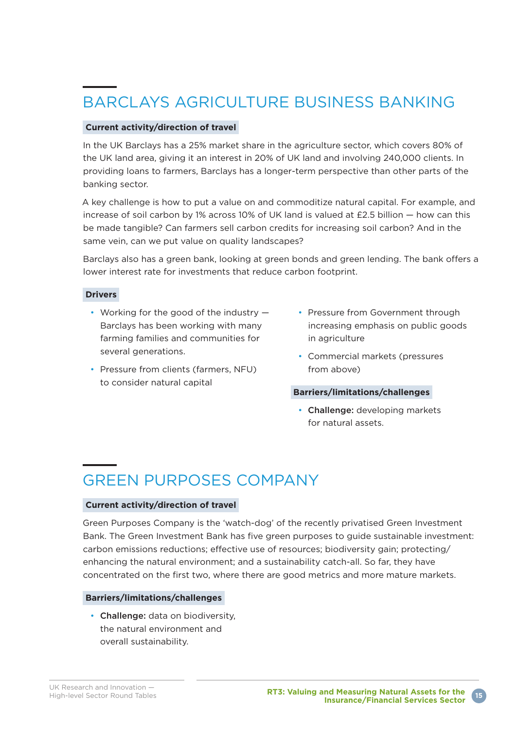## BARCLAYS AGRICULTURE BUSINESS BANKING

#### **Current activity/direction of travel**

In the UK Barclays has a 25% market share in the agriculture sector, which covers 80% of the UK land area, giving it an interest in 20% of UK land and involving 240,000 clients. In providing loans to farmers, Barclays has a longer-term perspective than other parts of the banking sector.

A key challenge is how to put a value on and commoditize natural capital. For example, and increase of soil carbon by 1% across 10% of UK land is valued at £2.5 billion — how can this be made tangible? Can farmers sell carbon credits for increasing soil carbon? And in the same vein, can we put value on quality landscapes?

Barclays also has a green bank, looking at green bonds and green lending. The bank offers a lower interest rate for investments that reduce carbon footprint.

#### **Drivers**

- Working for the good of the industry Barclays has been working with many farming families and communities for several generations.
- Pressure from clients (farmers, NFU) to consider natural capital
- Pressure from Government through increasing emphasis on public goods in agriculture
- Commercial markets (pressures from above)

#### **Barriers/limitations/challenges**

• Challenge: developing markets for natural assets.

### GREEN PURPOSES COMPANY

#### **Current activity/direction of travel**

Green Purposes Company is the 'watch-dog' of the recently privatised Green Investment Bank. The Green Investment Bank has five green purposes to guide sustainable investment: carbon emissions reductions; effective use of resources; biodiversity gain; protecting/ enhancing the natural environment; and a sustainability catch-all. So far, they have concentrated on the first two, where there are good metrics and more mature markets.

#### **Barriers/limitations/challenges**

• Challenge: data on biodiversity, the natural environment and overall sustainability.

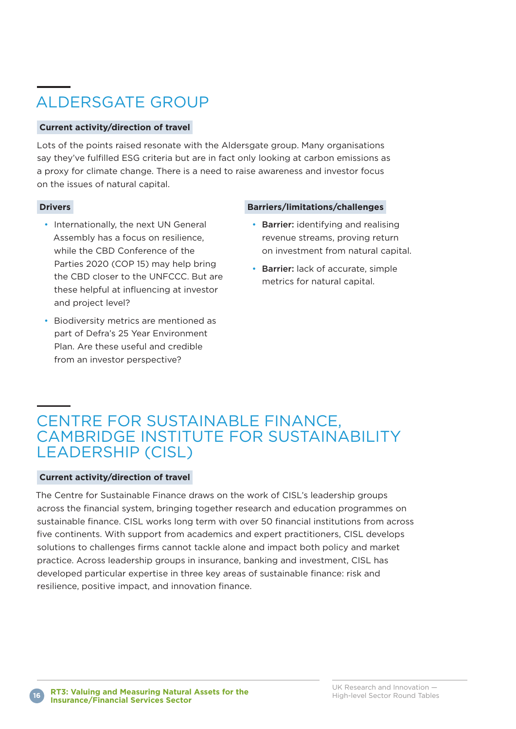### ALDERSGATE GROUP

#### **Current activity/direction of travel**

Lots of the points raised resonate with the Aldersgate group. Many organisations say they've fulfilled ESG criteria but are in fact only looking at carbon emissions as a proxy for climate change. There is a need to raise awareness and investor focus on the issues of natural capital.

#### **Drivers**

- Internationally, the next UN General Assembly has a focus on resilience, while the CBD Conference of the Parties 2020 (COP 15) may help bring the CBD closer to the UNFCCC. But are these helpful at influencing at investor and project level?
- Biodiversity metrics are mentioned as part of Defra's 25 Year Environment Plan. Are these useful and credible from an investor perspective?

#### **Barriers/limitations/challenges**

- Barrier: identifying and realising revenue streams, proving return on investment from natural capital.
- Barrier: lack of accurate, simple metrics for natural capital.

### CENTRE FOR SUSTAINABLE FINANCE, CAMBRIDGE INSTITUTE FOR SUSTAINABILITY LEADERSHIP (CISL)

#### **Current activity/direction of travel**

The Centre for Sustainable Finance draws on the work of CISL's leadership groups across the financial system, bringing together research and education programmes on sustainable finance. CISL works long term with over 50 financial institutions from across five continents. With support from academics and expert practitioners, CISL develops solutions to challenges firms cannot tackle alone and impact both policy and market practice. Across leadership groups in insurance, banking and investment, CISL has developed particular expertise in three key areas of sustainable finance: risk and resilience, positive impact, and innovation finance.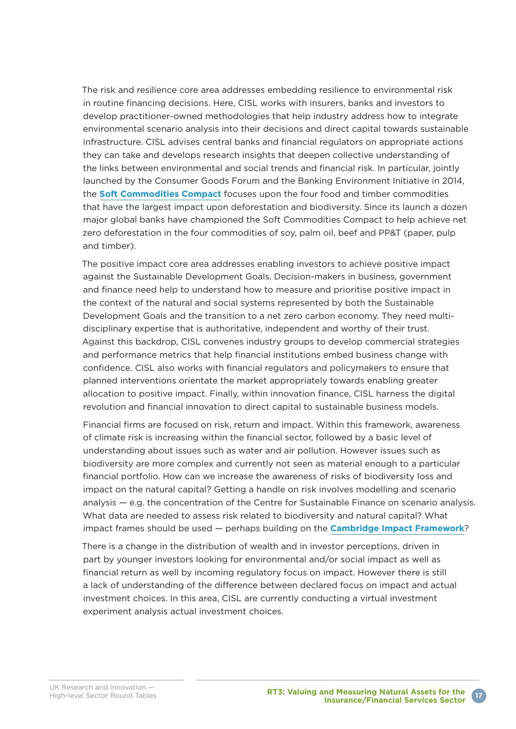The risk and resilience core area addresses embedding resilience to environmental risk in routine financing decisions. Here, CISL works with insurers, banks and investors to develop practitioner-owned methodologies that help industry address how to integrate environmental scenario analysis into their decisions and direct capital towards sustainable infrastructure. CISL advises central banks and financial regulators on appropriate actions they can take and develops research insights that deepen collective understanding of the links between environmental and social trends and financial risk. In particular, jointly launched by the Consumer Goods Forum and the Banking Environment Initiative in 2014, the **[Soft Commodities Compact](https://www.cisl.cam.ac.uk/business-action/sustainable-finance/banking-environment-initiative/programme/sustainable-agri-supply-chains/soft-commodities)** focuses upon the four food and timber commodities that have the largest impact upon deforestation and biodiversity. Since its launch a dozen major global banks have championed the Soft Commodities Compact to help achieve net zero deforestation in the four commodities of soy, palm oil, beef and PP&T (paper, pulp and timber).

The positive impact core area addresses enabling investors to achieve positive impact against the Sustainable Development Goals. Decision-makers in business, government and finance need help to understand how to measure and prioritise positive impact in the context of the natural and social systems represented by both the Sustainable Development Goals and the transition to a net zero carbon economy. They need multidisciplinary expertise that is authoritative, independent and worthy of their trust. Against this backdrop, CISL convenes industry groups to develop commercial strategies and performance metrics that help financial institutions embed business change with confidence. CISL also works with financial regulators and policymakers to ensure that planned interventions orientate the market appropriately towards enabling greater allocation to positive impact. Finally, within innovation finance, CISL harness the digital revolution and financial innovation to direct capital to sustainable business models.

Financial firms are focused on risk, return and impact. Within this framework, awareness of climate risk is increasing within the financial sector, followed by a basic level of understanding about issues such as water and air pollution. However issues such as biodiversity are more complex and currently not seen as material enough to a particular financial portfolio. How can we increase the awareness of risks of biodiversity loss and impact on the natural capital? Getting a handle on risk involves modelling and scenario analysis — e.g. the concentration of the Centre for Sustainable Finance on scenario analysis. What data are needed to assess risk related to biodiversity and natural capital? What impact frames should be used — perhaps building on the **[Cambridge Impact Framework](https://www.cisl.cam.ac.uk/resources/sustainable-finance-publications/in-search-impact-measuring-full-value-capital-update)**?

There is a change in the distribution of wealth and in investor perceptions, driven in part by younger investors looking for environmental and/or social impact as well as financial return as well by incoming regulatory focus on impact. However there is still a lack of understanding of the difference between declared focus on impact and actual investment choices. In this area, CISL are currently conducting a virtual investment experiment analysis actual investment choices.

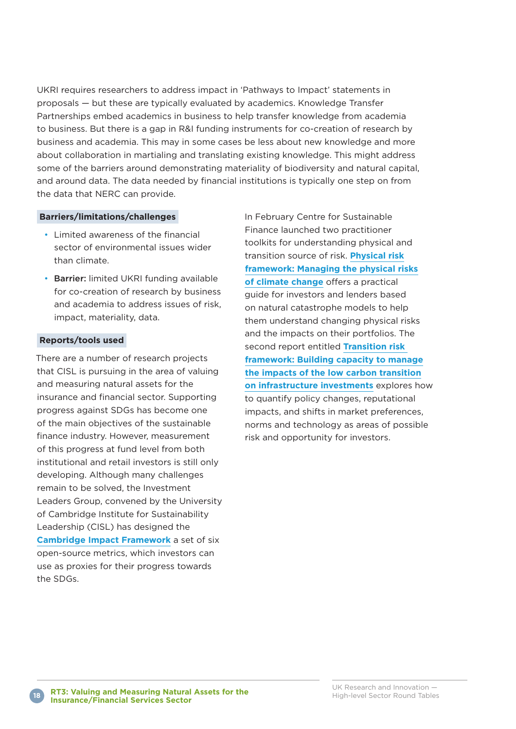UKRI requires researchers to address impact in 'Pathways to Impact' statements in proposals — but these are typically evaluated by academics. Knowledge Transfer Partnerships embed academics in business to help transfer knowledge from academia to business. But there is a gap in R&I funding instruments for co-creation of research by business and academia. This may in some cases be less about new knowledge and more about collaboration in martialing and translating existing knowledge. This might address some of the barriers around demonstrating materiality of biodiversity and natural capital, and around data. The data needed by financial institutions is typically one step on from the data that NERC can provide.

#### **Barriers/limitations/challenges**

- Limited awareness of the financial sector of environmental issues wider than climate.
- Barrier: limited UKRI funding available for co-creation of research by business and academia to address issues of risk, impact, materiality, data.

#### **Reports/tools used**

There are a number of research projects that CISL is pursuing in the area of valuing and measuring natural assets for the insurance and financial sector. Supporting progress against SDGs has become one of the main objectives of the sustainable finance industry. However, measurement of this progress at fund level from both institutional and retail investors is still only developing. Although many challenges remain to be solved, the Investment Leaders Group, convened by the University of Cambridge Institute for Sustainability Leadership (CISL) has designed the **[Cambridge Impact Framework](https://www.cisl.cam.ac.uk/resources/sustainable-finance-publications/in-search-impact-measuring-full-value-capital-update)** a set of six open-source metrics, which investors can use as proxies for their progress towards the SDGs.

In February Centre for Sustainable Finance launched two practitioner toolkits for understanding physical and transition source of risk. **[Physical risk](https://www.cisl.cam.ac.uk/resources/sustainable-finance-publications/physical-risk-framework-understanding-the-impact-of-climate-change-on-real-estate-lending-and-investment-portfolios) [framework: Managing the physical risks](https://www.cisl.cam.ac.uk/resources/sustainable-finance-publications/physical-risk-framework-understanding-the-impact-of-climate-change-on-real-estate-lending-and-investment-portfolios) [of climate change](https://www.cisl.cam.ac.uk/resources/sustainable-finance-publications/physical-risk-framework-understanding-the-impact-of-climate-change-on-real-estate-lending-and-investment-portfolios)** offers a practical guide for investors and lenders based on natural catastrophe models to help them understand changing physical risks and the impacts on their portfolios. The second report entitled **[Transition risk](https://www.cisl.cam.ac.uk/resources/sustainable-finance-publications/transistion-risk-framework-managing-the-impacts-of-the-low-carbon-transition-on-infrastructure-investments)  [framework: Building capacity to manage](https://www.cisl.cam.ac.uk/resources/sustainable-finance-publications/transistion-risk-framework-managing-the-impacts-of-the-low-carbon-transition-on-infrastructure-investments) [the impacts of the low carbon transition](https://www.cisl.cam.ac.uk/resources/sustainable-finance-publications/transistion-risk-framework-managing-the-impacts-of-the-low-carbon-transition-on-infrastructure-investments) [on infrastructure investments](https://www.cisl.cam.ac.uk/resources/sustainable-finance-publications/transistion-risk-framework-managing-the-impacts-of-the-low-carbon-transition-on-infrastructure-investments)** explores how to quantify policy changes, reputational impacts, and shifts in market preferences, norms and technology as areas of possible risk and opportunity for investors.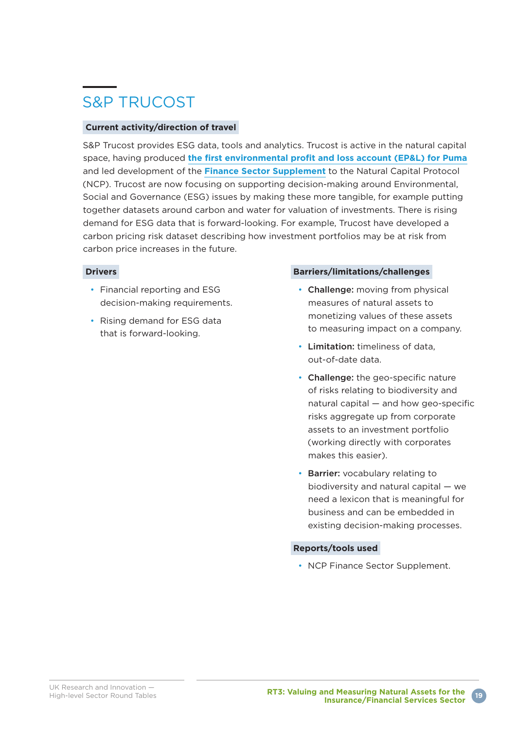### S&P TRUCOST

#### **Current activity/direction of travel**

S&P Trucost provides ESG data, tools and analytics. Trucost is active in the natural capital space, having produced **[the first environmental profit and loss account \(EP&L\) for Puma](https://www.trucost.com/publication/puma-environmental-profit-loss-account/)** and led development of the **[Finance Sector Supplement](https://naturalcapitalcoalition.org/finance/)** to the Natural Capital Protocol (NCP). Trucost are now focusing on supporting decision-making around Environmental, Social and Governance (ESG) issues by making these more tangible, for example putting together datasets around carbon and water for valuation of investments. There is rising demand for ESG data that is forward-looking. For example, Trucost have developed a carbon pricing risk dataset describing how investment portfolios may be at risk from carbon price increases in the future.

#### **Drivers**

- Financial reporting and ESG decision-making requirements.
- Rising demand for ESG data that is forward-looking.

#### **Barriers/limitations/challenges**

- Challenge: moving from physical measures of natural assets to monetizing values of these assets to measuring impact on a company.
- Limitation: timeliness of data, out-of-date data.
- Challenge: the geo-specific nature of risks relating to biodiversity and natural capital — and how geo-specific risks aggregate up from corporate assets to an investment portfolio (working directly with corporates makes this easier).
- Barrier: vocabulary relating to biodiversity and natural capital — we need a lexicon that is meaningful for business and can be embedded in existing decision-making processes.

#### **Reports/tools used**

• NCP Finance Sector Supplement.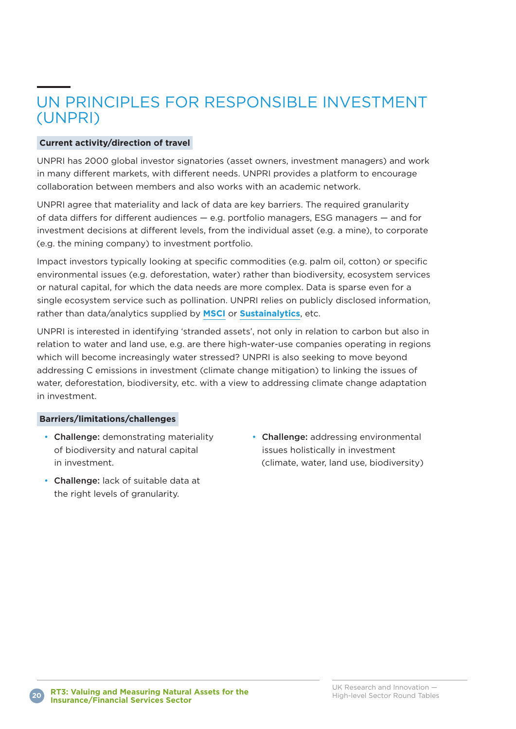### UN PRINCIPLES FOR RESPONSIBLE INVESTMENT (UNPRI)

#### **Current activity/direction of travel**

UNPRI has 2000 global investor signatories (asset owners, investment managers) and work in many different markets, with different needs. UNPRI provides a platform to encourage collaboration between members and also works with an academic network.

UNPRI agree that materiality and lack of data are key barriers. The required granularity of data differs for different audiences — e.g. portfolio managers, ESG managers — and for investment decisions at different levels, from the individual asset (e.g. a mine), to corporate (e.g. the mining company) to investment portfolio.

Impact investors typically looking at specific commodities (e.g. palm oil, cotton) or specific environmental issues (e.g. deforestation, water) rather than biodiversity, ecosystem services or natural capital, for which the data needs are more complex. Data is sparse even for a single ecosystem service such as pollination. UNPRI relies on publicly disclosed information, rather than data/analytics supplied by **[MSCI](https://www.msci.com/)** or **[Sustainalytics](https://www.sustainalytics.com)**, etc.

UNPRI is interested in identifying 'stranded assets', not only in relation to carbon but also in relation to water and land use, e.g. are there high-water-use companies operating in regions which will become increasingly water stressed? UNPRI is also seeking to move beyond addressing C emissions in investment (climate change mitigation) to linking the issues of water, deforestation, biodiversity, etc. with a view to addressing climate change adaptation in investment.

#### **Barriers/limitations/challenges**

- Challenge: demonstrating materiality of biodiversity and natural capital in investment.
- Challenge: addressing environmental issues holistically in investment (climate, water, land use, biodiversity)
- Challenge: lack of suitable data at the right levels of granularity.

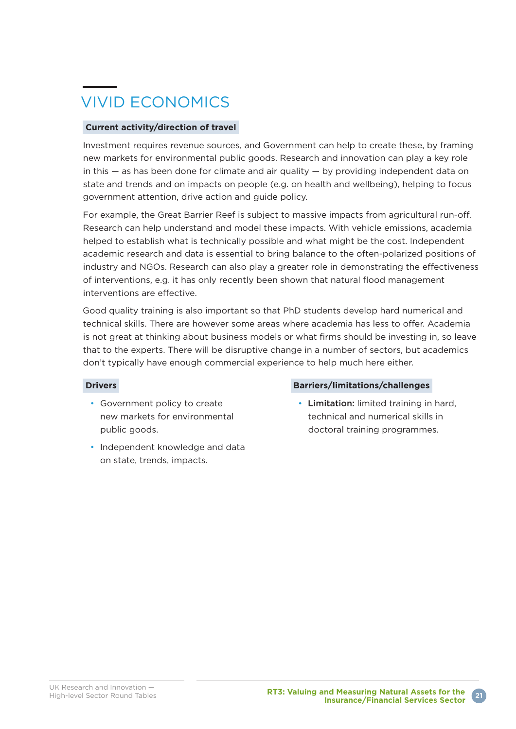## VIVID ECONOMICS

#### **Current activity/direction of travel**

Investment requires revenue sources, and Government can help to create these, by framing new markets for environmental public goods. Research and innovation can play a key role in this  $-$  as has been done for climate and air quality  $-$  by providing independent data on state and trends and on impacts on people (e.g. on health and wellbeing), helping to focus government attention, drive action and guide policy.

For example, the Great Barrier Reef is subject to massive impacts from agricultural run-off. Research can help understand and model these impacts. With vehicle emissions, academia helped to establish what is technically possible and what might be the cost. Independent academic research and data is essential to bring balance to the often-polarized positions of industry and NGOs. Research can also play a greater role in demonstrating the effectiveness of interventions, e.g. it has only recently been shown that natural flood management interventions are effective.

Good quality training is also important so that PhD students develop hard numerical and technical skills. There are however some areas where academia has less to offer. Academia is not great at thinking about business models or what firms should be investing in, so leave that to the experts. There will be disruptive change in a number of sectors, but academics don't typically have enough commercial experience to help much here either.

#### **Drivers**

- Government policy to create new markets for environmental public goods.
- Independent knowledge and data on state, trends, impacts.

#### **Barriers/limitations/challenges**

• Limitation: limited training in hard, technical and numerical skills in doctoral training programmes.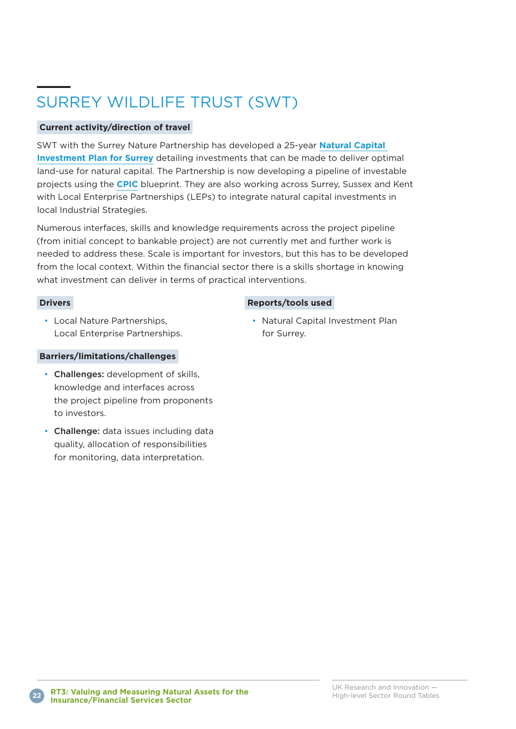## SURREY WILDLIFE TRUST (SWT)

#### **Current activity/direction of travel**

SWT with the Surrey Nature Partnership has developed a 25-year **[Natural Capital](https://surreynaturepartnership.files.wordpress.com/2018/03/natural-capital-investment-plan-for-surrey.pdf)  [Investment Plan for Surrey](https://surreynaturepartnership.files.wordpress.com/2018/03/natural-capital-investment-plan-for-surrey.pdf)** detailing investments that can be made to deliver optimal land-use for natural capital. The Partnership is now developing a pipeline of investable projects using the **[CPIC](http://cpicfinance.com/)** blueprint. They are also working across Surrey, Sussex and Kent with Local Enterprise Partnerships (LEPs) to integrate natural capital investments in local Industrial Strategies.

Numerous interfaces, skills and knowledge requirements across the project pipeline (from initial concept to bankable project) are not currently met and further work is needed to address these. Scale is important for investors, but this has to be developed from the local context. Within the financial sector there is a skills shortage in knowing what investment can deliver in terms of practical interventions.

#### **Drivers**

#### **Reports/tools used**

• Local Nature Partnerships, Local Enterprise Partnerships.

#### **Barriers/limitations/challenges**

- Challenges: development of skills, knowledge and interfaces across the project pipeline from proponents to investors.
- Challenge: data issues including data quality, allocation of responsibilities for monitoring, data interpretation.

• Natural Capital Investment Plan for Surrey.

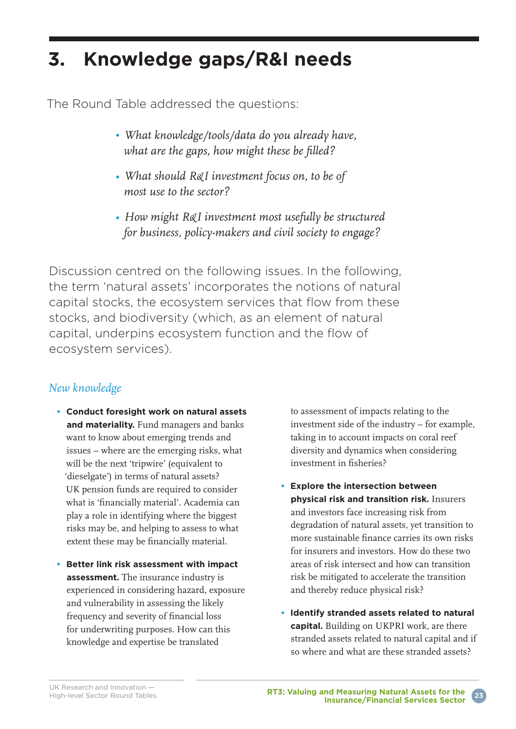## **3. Knowledge gaps/R&I needs**

The Round Table addressed the questions:

- *What knowledge/tools/data do you already have, what are the gaps, how might these be filled?*
- *What should R&I investment focus on, to be of most use to the sector?*
- *How might R&I investment most usefully be structured for business, policy-makers and civil society to engage?*

Discussion centred on the following issues. In the following, the term 'natural assets' incorporates the notions of natural capital stocks, the ecosystem services that flow from these stocks, and biodiversity (which, as an element of natural capital, underpins ecosystem function and the flow of ecosystem services).

### *New knowledge*

- **Conduct foresight work on natural assets and materiality.** Fund managers and banks want to know about emerging trends and issues – where are the emerging risks, what will be the next 'tripwire' (equivalent to 'dieselgate') in terms of natural assets? UK pension funds are required to consider what is 'financially material'. Academia can play a role in identifying where the biggest risks may be, and helping to assess to what extent these may be financially material.
- **Better link risk assessment with impact assessment.** The insurance industry is experienced in considering hazard, exposure and vulnerability in assessing the likely frequency and severity of financial loss for underwriting purposes. How can this knowledge and expertise be translated

to assessment of impacts relating to the investment side of the industry – for example, taking in to account impacts on coral reef diversity and dynamics when considering investment in fisheries?

- **Explore the intersection between physical risk and transition risk.** Insurers and investors face increasing risk from degradation of natural assets, yet transition to more sustainable finance carries its own risks for insurers and investors. How do these two areas of risk intersect and how can transition risk be mitigated to accelerate the transition and thereby reduce physical risk?
- **Identify stranded assets related to natural capital.** Building on UKPRI work, are there stranded assets related to natural capital and if so where and what are these stranded assets?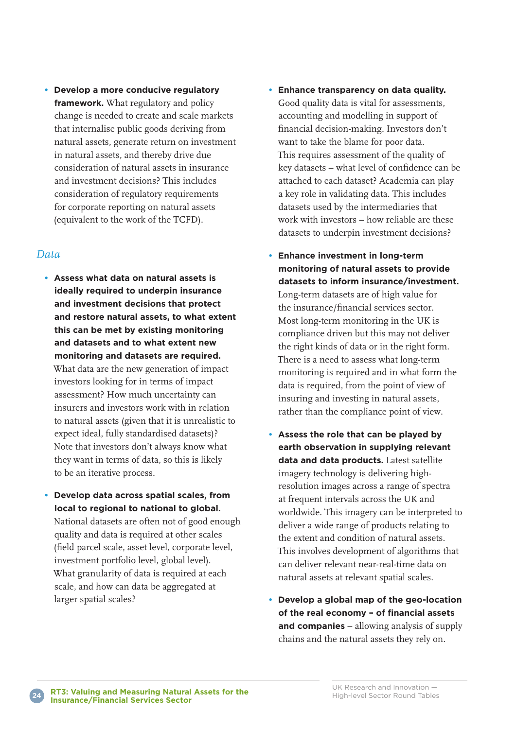**• Develop a more conducive regulatory framework.** What regulatory and policy change is needed to create and scale markets that internalise public goods deriving from natural assets, generate return on investment in natural assets, and thereby drive due consideration of natural assets in insurance and investment decisions? This includes consideration of regulatory requirements for corporate reporting on natural assets (equivalent to the work of the TCFD).

#### *Data*

- **Assess what data on natural assets is ideally required to underpin insurance and investment decisions that protect and restore natural assets, to what extent this can be met by existing monitoring and datasets and to what extent new monitoring and datasets are required.** What data are the new generation of impact investors looking for in terms of impact assessment? How much uncertainty can insurers and investors work with in relation to natural assets (given that it is unrealistic to expect ideal, fully standardised datasets)? Note that investors don't always know what they want in terms of data, so this is likely to be an iterative process.
- **Develop data across spatial scales, from local to regional to national to global.** National datasets are often not of good enough quality and data is required at other scales (field parcel scale, asset level, corporate level, investment portfolio level, global level). What granularity of data is required at each scale, and how can data be aggregated at larger spatial scales?
- **Enhance transparency on data quality.** Good quality data is vital for assessments, accounting and modelling in support of financial decision-making. Investors don't want to take the blame for poor data. This requires assessment of the quality of key datasets – what level of confidence can be attached to each dataset? Academia can play a key role in validating data. This includes datasets used by the intermediaries that work with investors – how reliable are these datasets to underpin investment decisions?
- **Enhance investment in long-term monitoring of natural assets to provide datasets to inform insurance/investment.** Long-term datasets are of high value for the insurance/financial services sector. Most long-term monitoring in the UK is compliance driven but this may not deliver the right kinds of data or in the right form. There is a need to assess what long-term monitoring is required and in what form the data is required, from the point of view of insuring and investing in natural assets, rather than the compliance point of view.
- **Assess the role that can be played by earth observation in supplying relevant data and data products.** Latest satellite imagery technology is delivering highresolution images across a range of spectra at frequent intervals across the UK and worldwide. This imagery can be interpreted to deliver a wide range of products relating to the extent and condition of natural assets. This involves development of algorithms that can deliver relevant near-real-time data on natural assets at relevant spatial scales.
- **Develop a global map of the geo-location of the real economy – of financial assets and companies** – allowing analysis of supply chains and the natural assets they rely on.

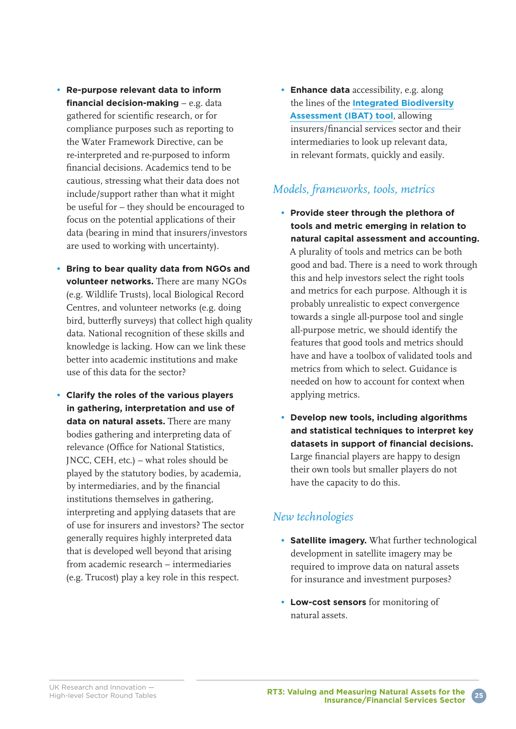- **Re-purpose relevant data to inform financial decision-making** – e.g. data gathered for scientific research, or for compliance purposes such as reporting to the Water Framework Directive, can be re-interpreted and re-purposed to inform financial decisions. Academics tend to be cautious, stressing what their data does not include/support rather than what it might be useful for – they should be encouraged to focus on the potential applications of their data (bearing in mind that insurers/investors are used to working with uncertainty).
- **Bring to bear quality data from NGOs and volunteer networks.** There are many NGOs (e.g. Wildlife Trusts), local Biological Record Centres, and volunteer networks (e.g. doing bird, butterfly surveys) that collect high quality data. National recognition of these skills and knowledge is lacking. How can we link these better into academic institutions and make use of this data for the sector?
- **Clarify the roles of the various players in gathering, interpretation and use of data on natural assets.** There are many bodies gathering and interpreting data of relevance (Office for National Statistics, JNCC, CEH, etc.) – what roles should be played by the statutory bodies, by academia, by intermediaries, and by the financial institutions themselves in gathering, interpreting and applying datasets that are of use for insurers and investors? The sector generally requires highly interpreted data that is developed well beyond that arising from academic research – intermediaries (e.g. Trucost) play a key role in this respect.

**• Enhance data** accessibility, e.g. along the lines of the **[Integrated Biodiversity](https://www.unep-wcmc.org/resources-and-data/ibat) [Assessment \(IBAT\) tool](https://www.unep-wcmc.org/resources-and-data/ibat)**, allowing insurers/financial services sector and their intermediaries to look up relevant data, in relevant formats, quickly and easily.

### *Models, frameworks, tools, metrics*

- **Provide steer through the plethora of tools and metric emerging in relation to natural capital assessment and accounting.**  A plurality of tools and metrics can be both good and bad. There is a need to work through this and help investors select the right tools and metrics for each purpose. Although it is probably unrealistic to expect convergence towards a single all-purpose tool and single all-purpose metric, we should identify the features that good tools and metrics should have and have a toolbox of validated tools and metrics from which to select. Guidance is needed on how to account for context when applying metrics.
- **Develop new tools, including algorithms and statistical techniques to interpret key datasets in support of financial decisions.** Large financial players are happy to design their own tools but smaller players do not have the capacity to do this.

### *New technologies*

- **Satellite imagery.** What further technological development in satellite imagery may be required to improve data on natural assets for insurance and investment purposes?
- **Low-cost sensors** for monitoring of natural assets.

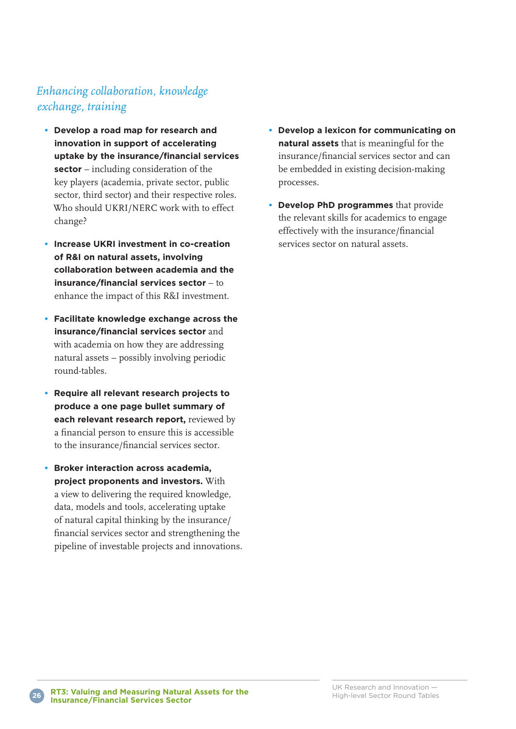### *Enhancing collaboration, knowledge exchange, training*

- **Develop a road map for research and innovation in support of accelerating uptake by the insurance/financial services sector** – including consideration of the key players (academia, private sector, public sector, third sector) and their respective roles. Who should UKRI/NERC work with to effect change?
- **Increase UKRI investment in co-creation of R&I on natural assets, involving collaboration between academia and the insurance/financial services sector** – to enhance the impact of this R&I investment.
- **Facilitate knowledge exchange across the insurance/financial services sector** and with academia on how they are addressing natural assets – possibly involving periodic round-tables.
- **Require all relevant research projects to produce a one page bullet summary of each relevant research report,** reviewed by a financial person to ensure this is accessible to the insurance/financial services sector.
- **Broker interaction across academia, project proponents and investors.** With a view to delivering the required knowledge, data, models and tools, accelerating uptake of natural capital thinking by the insurance/ financial services sector and strengthening the pipeline of investable projects and innovations.
- **Develop a lexicon for communicating on natural assets** that is meaningful for the insurance/financial services sector and can be embedded in existing decision-making processes.
- **Develop PhD programmes** that provide the relevant skills for academics to engage effectively with the insurance/financial services sector on natural assets.

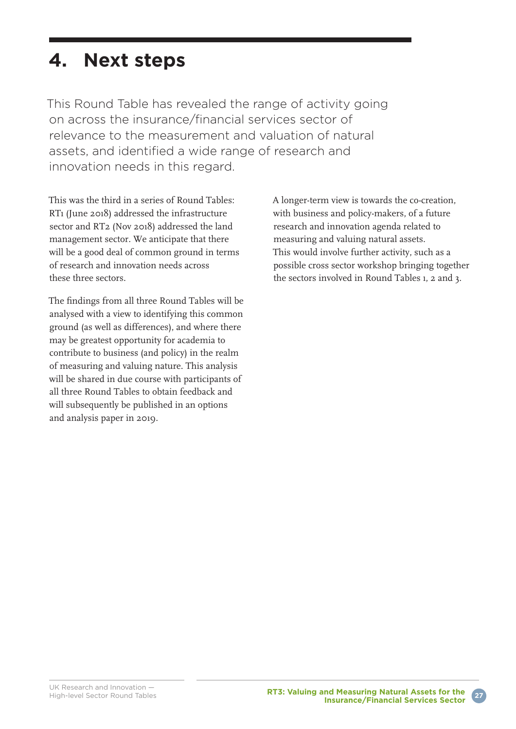## **4. Next steps**

This Round Table has revealed the range of activity going on across the insurance/financial services sector of relevance to the measurement and valuation of natural assets, and identified a wide range of research and innovation needs in this regard.

This was the third in a series of Round Tables: RTı (June 20ı8) addressed the infrastructure sector and RT2 (Nov 20ı8) addressed the land management sector. We anticipate that there will be a good deal of common ground in terms of research and innovation needs across these three sectors.

The findings from all three Round Tables will be analysed with a view to identifying this common ground (as well as differences), and where there may be greatest opportunity for academia to contribute to business (and policy) in the realm of measuring and valuing nature. This analysis will be shared in due course with participants of all three Round Tables to obtain feedback and will subsequently be published in an options and analysis paper in 20ı9.

A longer-term view is towards the co-creation, with business and policy-makers, of a future research and innovation agenda related to measuring and valuing natural assets. This would involve further activity, such as a possible cross sector workshop bringing together the sectors involved in Round Tables ı, 2 and 3.